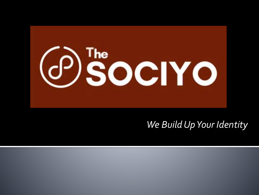

## *We Build Up Your Identity*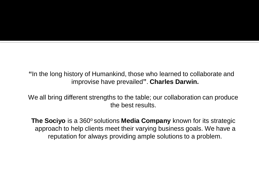**"**In the long history of Humankind, those who learned to collaborate and improvise have prevailed**"**. **Charles Darwin.** 

We all bring different strengths to the table; our collaboration can produce the best results.

**The Sociyo** is a 360° solutions **Media Company** known for its strategic approach to help clients meet their varying business goals. We have a reputation for always providing ample solutions to a problem.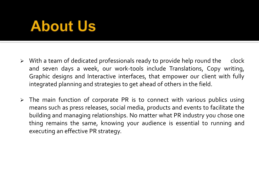# About Us

- $\triangleright$  With a team of dedicated professionals ready to provide help round the clock and seven days a week, our work-tools include Translations, Copy writing, Graphic designs and Interactive interfaces, that empower our client with fully integrated planning and strategies to get ahead of others in the field.
- $\triangleright$  The main function of corporate PR is to connect with various publics using means such as press releases, social media, products and events to facilitate the building and managing relationships. No matter what PR industry you chose one thing remains the same, knowing your audience is essential to running and executing an effective PR strategy.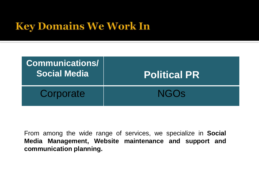# **Key Domains We Work In**

| <b>Communications/</b><br><b>Social Media</b> | <b>Political PR</b> |
|-----------------------------------------------|---------------------|
| Corporate                                     | <b>NGOS</b>         |

From among the wide range of services, we specialize in **Social Media Management, Website maintenance and support and communication planning.**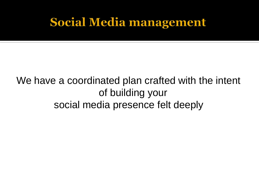# **Social Media management**

## We have a coordinated plan crafted with the intent of building your social media presence felt deeply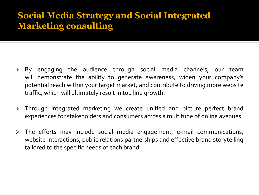### **Social Media Strategy and Social Integrated Marketing consulting**

- By engaging the audience through social media channels, our team will demonstrate the ability to generate awareness, widen your company's potential reach within your target market, and contribute to driving more website traffic, which will ultimately result in top line growth.
- Through integrated marketing we create unified and picture perfect brand experiences for stakeholders and consumers across a multitude of online avenues.
- $\triangleright$  The efforts may include social media engagement, e-mail communications, website interactions, public relations partnerships and effective brand storytelling tailored to the specific needs of each brand.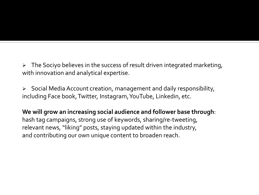$\triangleright$  The Sociyo believes in the success of result driven integrated marketing, with innovation and analytical expertise.

 $\triangleright$  Social Media Account creation, management and daily responsibility, including Face book,Twitter, Instagram,YouTube, Linkedin, etc.

**We will grow an increasing social audience and follower base through**: hash tag campaigns, strong use of keywords, sharing/re-tweeting, relevant news, "liking" posts, staying updated within the industry, and contributing our own unique content to broaden reach.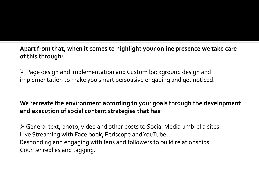**Apart from that, when it comes to highlight your online presence we take care of this through:** 

 Page design and implementation and Custom background design and implementation to make you smart persuasive engaging and get noticed.

#### **We recreate the environment according to your goals through the development and execution of social content strategies that has:**

General text, photo, video and other posts to Social Media umbrella sites. Live Streaming with Face book, Periscope and YouTube. Responding and engaging with fans and followers to build relationships Counter replies and tagging.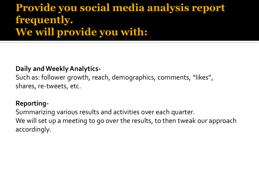## **Provide you social media analysis report frequently. We will provide you with:**

#### **Daily and Weekly Analytics-**

Such as: follower growth, reach, demographics, comments, "likes", shares, re-tweets, etc.

#### **Reporting-**

Summarizing various results and activities over each quarter. We will set up a meeting to go over the results, to then tweak our approach accordingly.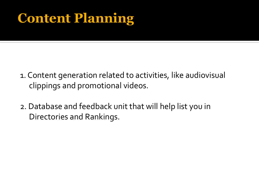# **Content Planning**

- 1. Content generation related to activities, like audiovisual clippings and promotional videos.
- 2. Database and feedback unit that will help list you in Directories and Rankings.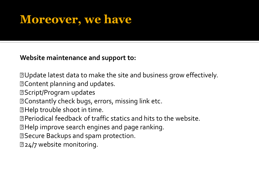# **Moreover, we have**

**Website maintenance and support to:**

**Z** Update latest data to make the site and business grow effectively.

Content planning and updates.

**Z** Script/Program updates

**MEDO** Constantly check bugs, errors, missing link etc.

**Z** Help trouble shoot in time.

Periodical feedback of traffic statics and hits to the website.

Help improve search engines and page ranking.

**Z** Secure Backups and spam protection.

**224/7 website monitoring.**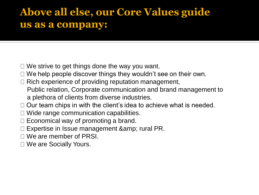## **Above all else, our Core Values guide us as a company:**

- $\Box$  We strive to get things done the way you want.
- $\Box$  We help people discover things they wouldn't see on their own.
- Rich experience of providing reputation management, Public relation, Corporate communication and brand management to a plethora of clients from diverse industries.
- $\Box$  Our team chips in with the client's idea to achieve what is needed.
- $\Box$  Wide range communication capabilities.
- $\Box$  Economical way of promoting a brand.
- $\Box$  Expertise in Issue management & amp; rural PR.
- □ We are member of PRSI.
- □ We are Socially Yours.